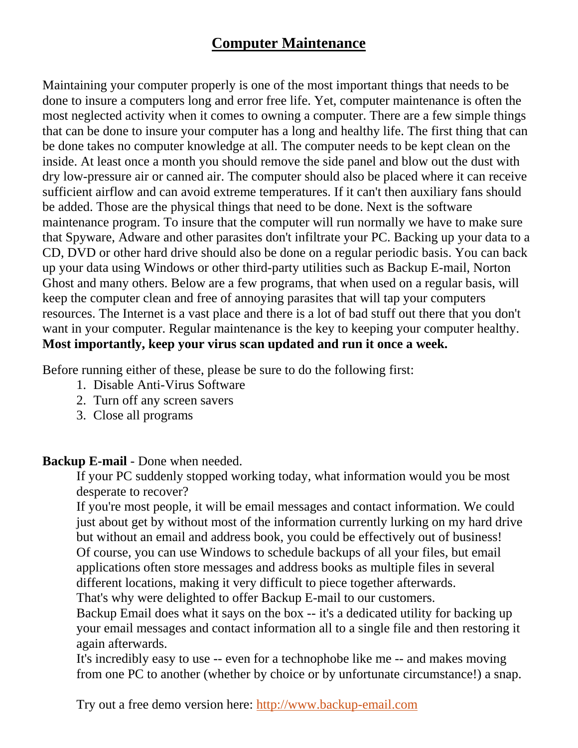## **Computer Maintenance**

Maintaining your computer properly is one of the most important things that needs to be done to insure a computers long and error free life. Yet, computer maintenance is often the most neglected activity when it comes to owning a computer. There are a few simple things that can be done to insure your computer has a long and healthy life. The first thing that can be done takes no computer knowledge at all. The computer needs to be kept clean on the inside. At least once a month you should remove the side panel and blow out the dust with dry low-pressure air or canned air. The computer should also be placed where it can receive sufficient airflow and can avoid extreme temperatures. If it can't then auxiliary fans should be added. Those are the physical things that need to be done. Next is the software maintenance program. To insure that the computer will run normally we have to make sure that Spyware, Adware and other parasites don't infiltrate your PC. Backing up your data to a CD, DVD or other hard drive should also be done on a regular periodic basis. You can back up your data using Windows or other third-party utilities such as Backup E-mail, Norton Ghost and many others. Below are a few programs, that when used on a regular basis, will keep the computer clean and free of annoying parasites that will tap your computers resources. The Internet is a vast place and there is a lot of bad stuff out there that you don't want in your computer. Regular maintenance is the key to keeping your computer healthy. **Most importantly, keep your virus scan updated and run it once a week.** 

Before running either of these, please be sure to do the following first:

- 1. Disable Anti-Virus Software
- 2. Turn off any screen savers
- 3. Close all programs

## **Backup E-mail** - Done when needed.

If your PC suddenly stopped working today, what information would you be most desperate to recover?

If you're most people, it will be email messages and contact information. We could just about get by without most of the information currently lurking on my hard drive but without an email and address book, you could be effectively out of business! Of course, you can use Windows to schedule backups of all your files, but email applications often store messages and address books as multiple files in several different locations, making it very difficult to piece together afterwards.

That's why were delighted to offer Backup E-mail to our customers.

Backup Email does what it says on the box -- it's a dedicated utility for backing up your email messages and contact information all to a single file and then restoring it again afterwards.

It's incredibly easy to use -- even for a technophobe like me -- and makes moving from one PC to another (whether by choice or by unfortunate circumstance!) a snap.

Try out a free demo version here: [http://www.backup-email.com](http://www.backup-email.com/)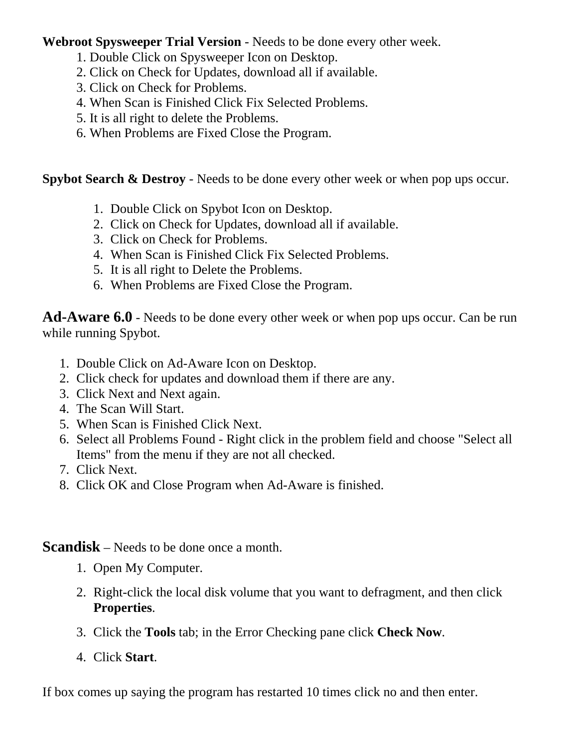**Webroot Spysweeper Trial Version** - Needs to be done every other week.

- 1. Double Click on Spysweeper Icon on Desktop.
- 2. Click on Check for Updates, download all if available.
- 3. Click on Check for Problems.
- 4. When Scan is Finished Click Fix Selected Problems.
- 5. It is all right to delete the Problems.
- 6. When Problems are Fixed Close the Program.

**Spybot Search & Destroy** - Needs to be done every other week or when pop ups occur.

- 1. Double Click on Spybot Icon on Desktop.
- 2. Click on Check for Updates, download all if available.
- 3. Click on Check for Problems.
- 4. When Scan is Finished Click Fix Selected Problems.
- 5. It is all right to Delete the Problems.
- 6. When Problems are Fixed Close the Program.

**Ad-Aware 6.0** - Needs to be done every other week or when pop ups occur. Can be run while running Spybot.

- 1. Double Click on Ad-Aware Icon on Desktop.
- 2. Click check for updates and download them if there are any.
- 3. Click Next and Next again.
- 4. The Scan Will Start.
- 5. When Scan is Finished Click Next.
- 6. Select all Problems Found Right click in the problem field and choose "Select all Items" from the menu if they are not all checked.
- 7. Click Next.
- 8. Click OK and Close Program when Ad-Aware is finished.

## **Scandisk** – Needs to be done once a month.

- 1. Open My Computer.
- 2. Right-click the local disk volume that you want to defragment, and then click **Properties**.
- 3. Click the **Tools** tab; in the Error Checking pane click **Check Now**.
- 4. Click **Start**.

If box comes up saying the program has restarted 10 times click no and then enter.